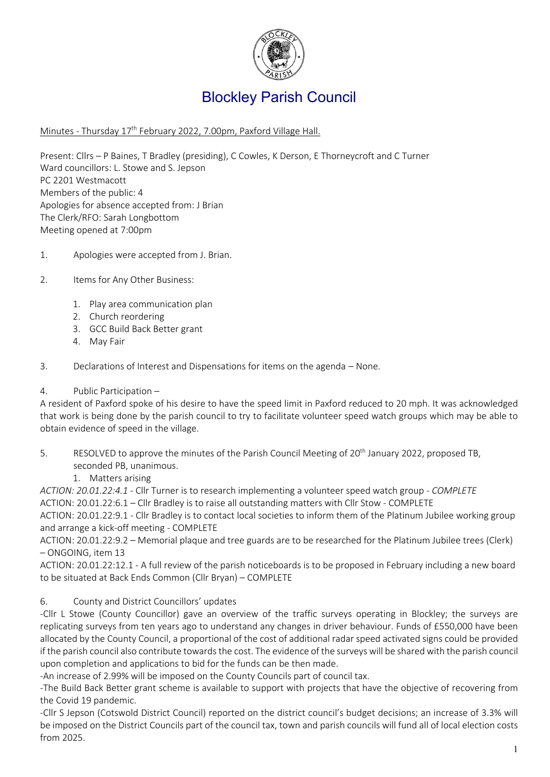

# Blockley Parish Council

### Minutes - Thursday 17<sup>th</sup> February 2022, 7.00pm, Paxford Village Hall.

Present: Cllrs – P Baines, T Bradley (presiding), C Cowles, K Derson, E Thorneycroft and C Turner Ward councillors: L. Stowe and S. Jepson PC 2201 Westmacott Members of the public: 4 Apologies for absence accepted from: J Brian The Clerk/RFO: Sarah Longbottom Meeting opened at 7:00pm

- 1. Apologies were accepted from J. Brian.
- 2. Items for Any Other Business:
	- 1. Play area communication plan
	- 2. Church reordering
	- 3. GCC Build Back Better grant
	- 4. May Fair
- 3. Declarations of Interest and Dispensations for items on the agenda None.
- 4. Public Participation –

A resident of Paxford spoke of his desire to have the speed limit in Paxford reduced to 20 mph. It was acknowledged that work is being done by the parish council to try to facilitate volunteer speed watch groups which may be able to obtain evidence of speed in the village.

- 5. RESOLVED to approve the minutes of the Parish Council Meeting of 20<sup>th</sup> January 2022, proposed TB, seconded PB, unanimous.
	- 1. Matters arising

*ACTION: 20.01.22:4.1 -* Cllr Turner is to research implementing a volunteer speed watch group *- COMPLETE*

ACTION: 20.01.22:6.1 – Cllr Bradley is to raise all outstanding matters with Cllr Stow - COMPLETE

ACTION: 20.01.22:9.1 - Cllr Bradley is to contact local societies to inform them of the Platinum Jubilee working group and arrange a kick-off meeting - COMPLETE

ACTION: 20.01.22:9.2 – Memorial plaque and tree guards are to be researched for the Platinum Jubilee trees (Clerk) – ONGOING, item 13

ACTION: 20.01.22:12.1 - A full review of the parish noticeboards is to be proposed in February including a new board to be situated at Back Ends Common (Cllr Bryan) – COMPLETE

## 6. County and District Councillors' updates

-Cllr L Stowe (County Councillor) gave an overview of the traffic surveys operating in Blockley; the surveys are replicating surveys from ten years ago to understand any changes in driver behaviour. Funds of £550,000 have been allocated by the County Council, a proportional of the cost of additional radar speed activated signs could be provided if the parish council also contribute towards the cost. The evidence of the surveys will be shared with the parish council upon completion and applications to bid for the funds can be then made.

-An increase of 2.99% will be imposed on the County Councils part of council tax.

-The Build Back Better grant scheme is available to support with projects that have the objective of recovering from the Covid 19 pandemic.

-Cllr S Jepson (Cotswold District Council) reported on the district council's budget decisions; an increase of 3.3% will be imposed on the District Councils part of the council tax, town and parish councils will fund all of local election costs from 2025.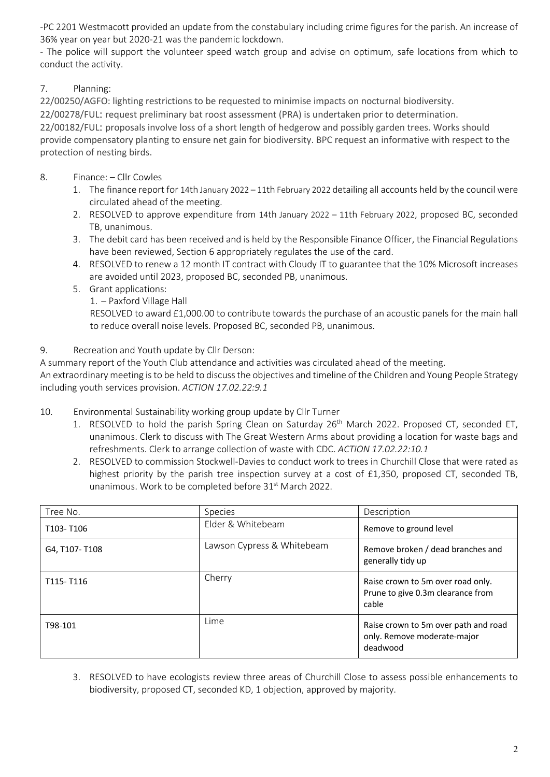-PC 2201 Westmacott provided an update from the constabulary including crime figures for the parish. An increase of 36% year on year but 2020-21 was the pandemic lockdown.

- The police will support the volunteer speed watch group and advise on optimum, safe locations from which to conduct the activity.

# 7. Planning:

22/00250/AGFO: lighting restrictions to be requested to minimise impacts on nocturnal biodiversity.

22/00278/FUL: request preliminary bat roost assessment (PRA) is undertaken prior to determination.

22/00182/FUL: proposals involve loss of a short length of hedgerow and possibly garden trees. Works should provide compensatory planting to ensure net gain for biodiversity. BPC request an informative with respect to the protection of nesting birds.

- 8. Finance: Cllr Cowles
	- 1. The finance report for 14th January 2022 11th February 2022 detailing all accounts held by the council were circulated ahead of the meeting.
	- 2. RESOLVED to approve expenditure from 14th January 2022 11th February 2022, proposed BC, seconded TB, unanimous.
	- 3. The debit card has been received and is held by the Responsible Finance Officer, the Financial Regulations have been reviewed, Section 6 appropriately regulates the use of the card.
	- 4. RESOLVED to renew a 12 month IT contract with Cloudy IT to guarantee that the 10% Microsoft increases are avoided until 2023, proposed BC, seconded PB, unanimous.
	- 5. Grant applications:
		- 1. Paxford Village Hall

RESOLVED to award £1,000.00 to contribute towards the purchase of an acoustic panels for the main hall to reduce overall noise levels. Proposed BC, seconded PB, unanimous.

## 9. Recreation and Youth update by Cllr Derson:

A summary report of the Youth Club attendance and activities was circulated ahead of the meeting.

An extraordinary meeting is to be held to discuss the objectives and timeline of the Children and Young People Strategy including youth services provision. *ACTION 17.02.22:9.1*

- 10. Environmental Sustainability working group update by Cllr Turner
	- 1. RESOLVED to hold the parish Spring Clean on Saturday 26<sup>th</sup> March 2022. Proposed CT, seconded ET, unanimous. Clerk to discuss with The Great Western Arms about providing a location for waste bags and refreshments. Clerk to arrange collection of waste with CDC. *ACTION 17.02.22:10.1*
	- 2. RESOLVED to commission Stockwell-Davies to conduct work to trees in Churchill Close that were rated as highest priority by the parish tree inspection survey at a cost of £1,350, proposed CT, seconded TB, unanimous. Work to be completed before 31<sup>st</sup> March 2022.

| Tree No.      | <b>Species</b>             | Description                                                                     |
|---------------|----------------------------|---------------------------------------------------------------------------------|
| T103-T106     | Elder & Whitebeam          | Remove to ground level                                                          |
| G4, T107-T108 | Lawson Cypress & Whitebeam | Remove broken / dead branches and<br>generally tidy up                          |
| T115-T116     | Cherry                     | Raise crown to 5m over road only.<br>Prune to give 0.3m clearance from<br>cable |
| T98-101       | Lime                       | Raise crown to 5m over path and road<br>only. Remove moderate-major<br>deadwood |

3. RESOLVED to have ecologists review three areas of Churchill Close to assess possible enhancements to biodiversity, proposed CT, seconded KD, 1 objection, approved by majority.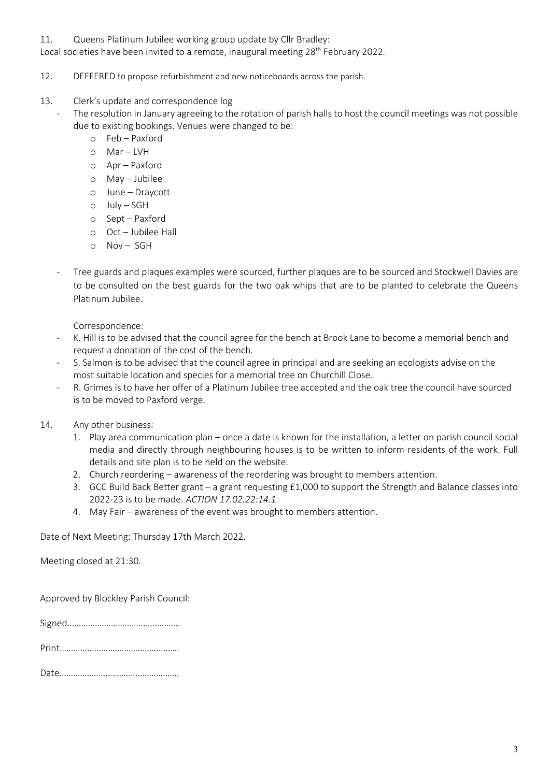#### 11. Queens Platinum Jubilee working group update by Cllr Bradley:

Local societies have been invited to a remote, inaugural meeting 28<sup>th</sup> February 2022.

- 12. DEFFERED to propose refurbishment and new noticeboards across the parish.
- 13. Clerk's update and correspondence log
	- The resolution in January agreeing to the rotation of parish halls to host the council meetings was not possible due to existing bookings. Venues were changed to be:
		- o Feb Paxford
		- $O$  Mar LVH
		- o Apr Paxford
		- o May Jubilee
		- o June Draycott
		- o July SGH
		- o Sept Paxford
		- o Oct Jubilee Hall
		- o Nov SGH
		- Tree guards and plaques examples were sourced, further plaques are to be sourced and Stockwell Davies are to be consulted on the best guards for the two oak whips that are to be planted to celebrate the Queens Platinum Jubilee.

Correspondence:

- K. Hill is to be advised that the council agree for the bench at Brook Lane to become a memorial bench and request a donation of the cost of the bench.
- S. Salmon is to be advised that the council agree in principal and are seeking an ecologists advise on the most suitable location and species for a memorial tree on Churchill Close.
- R. Grimes is to have her offer of a Platinum Jubilee tree accepted and the oak tree the council have sourced is to be moved to Paxford verge.
- 14. Any other business:
	- 1. Play area communication plan once a date is known for the installation, a letter on parish council social media and directly through neighbouring houses is to be written to inform residents of the work. Full details and site plan is to be held on the website.
	- 2. Church reordering awareness of the reordering was brought to members attention.
	- 3. GCC Build Back Better grant a grant requesting £1,000 to support the Strength and Balance classes into 2022-23 is to be made. *ACTION 17.02.22:14.1*
	- 4. May Fair awareness of the event was brought to members attention.

Date of Next Meeting: Thursday 17th March 2022.

Meeting closed at 21:30.

Approved by Blockley Parish Council:

Signed………………………………………….

|--|--|